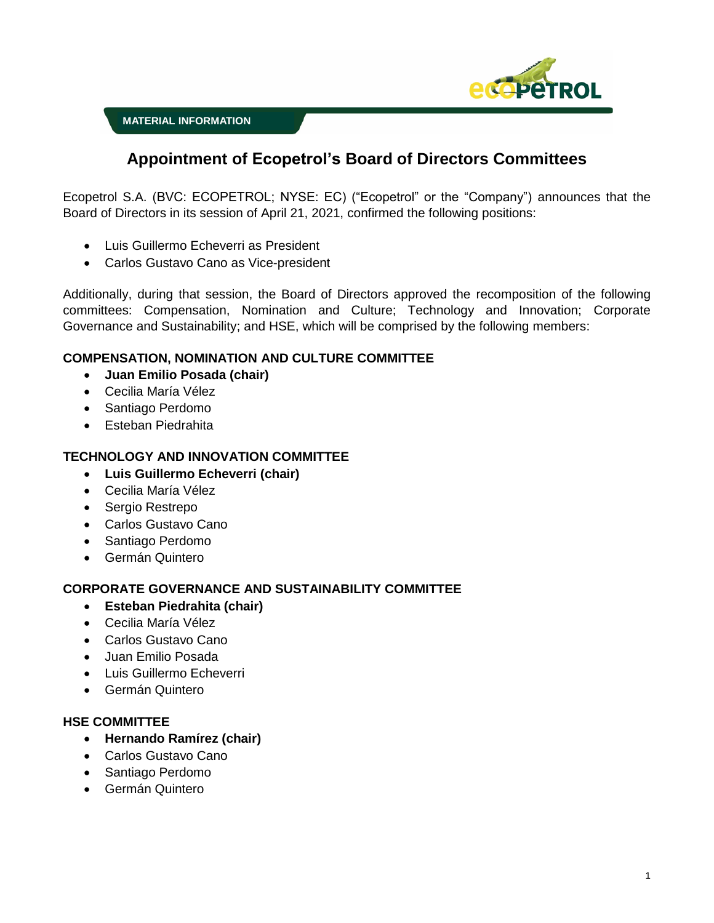

**MATERIAL INFORMATION**

# **Appointment of Ecopetrol's Board of Directors Committees**

Ecopetrol S.A. (BVC: ECOPETROL; NYSE: EC) ("Ecopetrol" or the "Company") announces that the Board of Directors in its session of April 21, 2021, confirmed the following positions:

- Luis Guillermo Echeverri as President
- Carlos Gustavo Cano as Vice-president

Additionally, during that session, the Board of Directors approved the recomposition of the following committees: Compensation, Nomination and Culture; Technology and Innovation; Corporate Governance and Sustainability; and HSE, which will be comprised by the following members:

## **COMPENSATION, NOMINATION AND CULTURE COMMITTEE**

- **Juan Emilio Posada (chair)**
- Cecilia María Vélez
- Santiago Perdomo
- Esteban Piedrahita

#### **TECHNOLOGY AND INNOVATION COMMITTEE**

- **Luis Guillermo Echeverri (chair)**
- Cecilia María Vélez
- Sergio Restrepo
- Carlos Gustavo Cano
- Santiago Perdomo
- Germán Quintero

## **CORPORATE GOVERNANCE AND SUSTAINABILITY COMMITTEE**

- **Esteban Piedrahita (chair)**
- Cecilia María Vélez
- Carlos Gustavo Cano
- Juan Emilio Posada
- Luis Guillermo Echeverri
- Germán Quintero

#### **HSE COMMITTEE**

- **Hernando Ramírez (chair)**
- Carlos Gustavo Cano
- Santiago Perdomo
- Germán Quintero